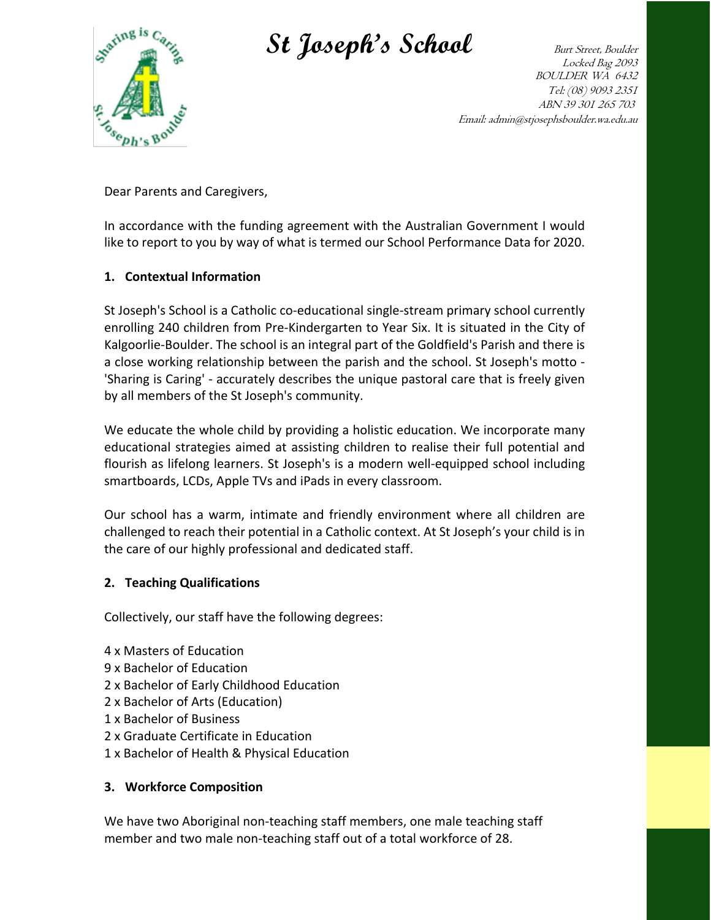

St Joseph's School Burt Street, Boulder

Locked Bag 2093 BOULDER WA 6432 Tel: (08) 9093 2351 ABN 39 301 265 703 Email: admin@stjosephsboulder.wa.edu.au

Dear Parents and Caregivers,

In accordance with the funding agreement with the Australian Government I would like to report to you by way of what is termed our School Performance Data for 2020.

## **1. Contextual Information**

St Joseph's School is a Catholic co-educational single-stream primary school currently enrolling 240 children from Pre-Kindergarten to Year Six. It is situated in the City of Kalgoorlie-Boulder. The school is an integral part of the Goldfield's Parish and there is a close working relationship between the parish and the school. St Joseph's motto - 'Sharing is Caring' - accurately describes the unique pastoral care that is freely given by all members of the St Joseph's community.

We educate the whole child by providing a holistic education. We incorporate many educational strategies aimed at assisting children to realise their full potential and flourish as lifelong learners. St Joseph's is a modern well-equipped school including smartboards, LCDs, Apple TVs and iPads in every classroom.

Our school has a warm, intimate and friendly environment where all children are challenged to reach their potential in a Catholic context. At St Joseph's your child is in the care of our highly professional and dedicated staff.

### **2. Teaching Qualifications**

Collectively, our staff have the following degrees:

- 4 x Masters of Education
- 9 x Bachelor of Education
- 2 x Bachelor of Early Childhood Education
- 2 x Bachelor of Arts (Education)
- 1 x Bachelor of Business
- 2 x Graduate Certificate in Education
- 1 x Bachelor of Health & Physical Education

### **3. Workforce Composition**

We have two Aboriginal non-teaching staff members, one male teaching staff member and two male non-teaching staff out of a total workforce of 28.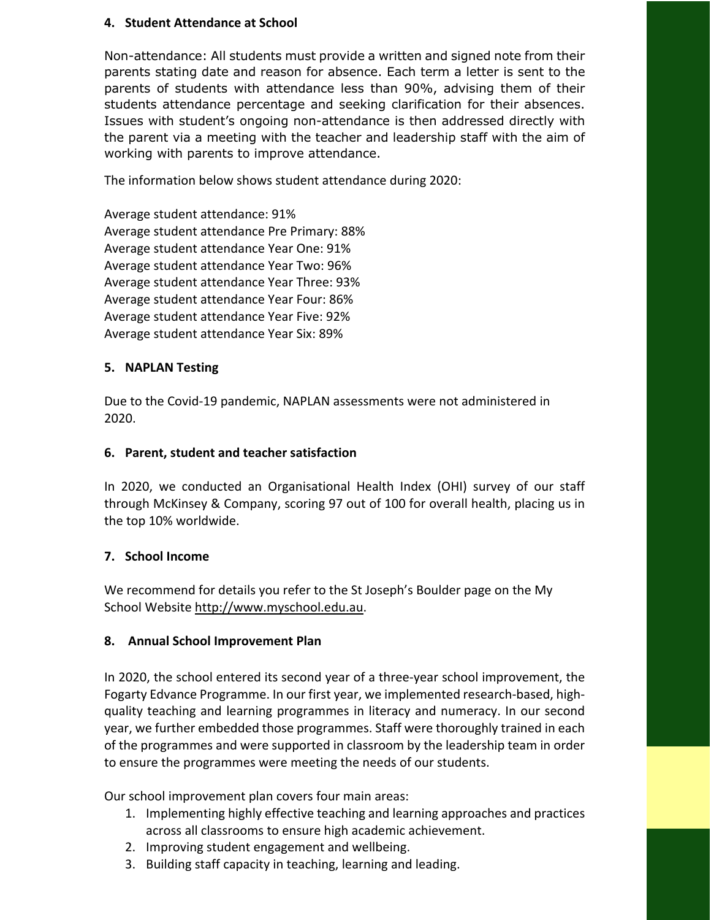### **4. Student Attendance at School**

Non-attendance: All students must provide a written and signed note from their parents stating date and reason for absence. Each term a letter is sent to the parents of students with attendance less than 90%, advising them of their students attendance percentage and seeking clarification for their absences. Issues with student's ongoing non-attendance is then addressed directly with the parent via a meeting with the teacher and leadership staff with the aim of working with parents to improve attendance.

The information below shows student attendance during 2020:

Average student attendance: 91% Average student attendance Pre Primary: 88% Average student attendance Year One: 91% Average student attendance Year Two: 96% Average student attendance Year Three: 93% Average student attendance Year Four: 86% Average student attendance Year Five: 92% Average student attendance Year Six: 89%

## **5. NAPLAN Testing**

Due to the Covid-19 pandemic, NAPLAN assessments were not administered in 2020.

### **6. Parent, student and teacher satisfaction**

In 2020, we conducted an Organisational Health Index (OHI) survey of our staff through McKinsey & Company, scoring 97 out of 100 for overall health, placing us in the top 10% worldwide.

# **7. School Income**

We recommend for details you refer to the St Joseph's Boulder page on the My School Website http://www.myschool.edu.au.

# **8. Annual School Improvement Plan**

In 2020, the school entered its second year of a three-year school improvement, the Fogarty Edvance Programme. In our first year, we implemented research-based, highquality teaching and learning programmes in literacy and numeracy. In our second year, we further embedded those programmes. Staff were thoroughly trained in each of the programmes and were supported in classroom by the leadership team in order to ensure the programmes were meeting the needs of our students.

Our school improvement plan covers four main areas:

- 1. Implementing highly effective teaching and learning approaches and practices across all classrooms to ensure high academic achievement.
- 2. Improving student engagement and wellbeing.
- 3. Building staff capacity in teaching, learning and leading.